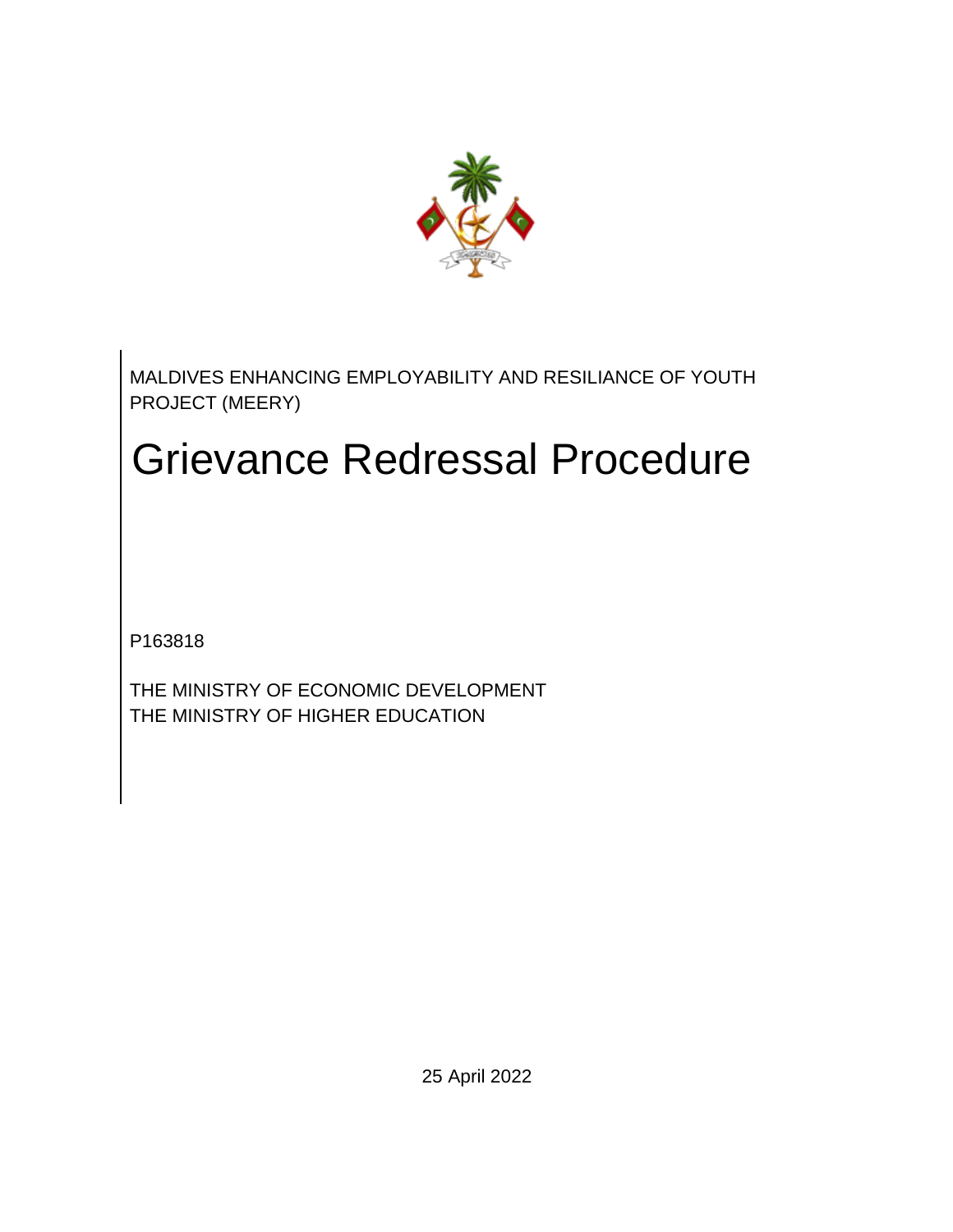

MALDIVES ENHANCING EMPLOYABILITY AND RESILIANCE OF YOUTH PROJECT (MEERY)

# Grievance Redressal Procedure

P163818

THE MINISTRY OF ECONOMIC DEVELOPMENT THE MINISTRY OF HIGHER EDUCATION

25 April 2022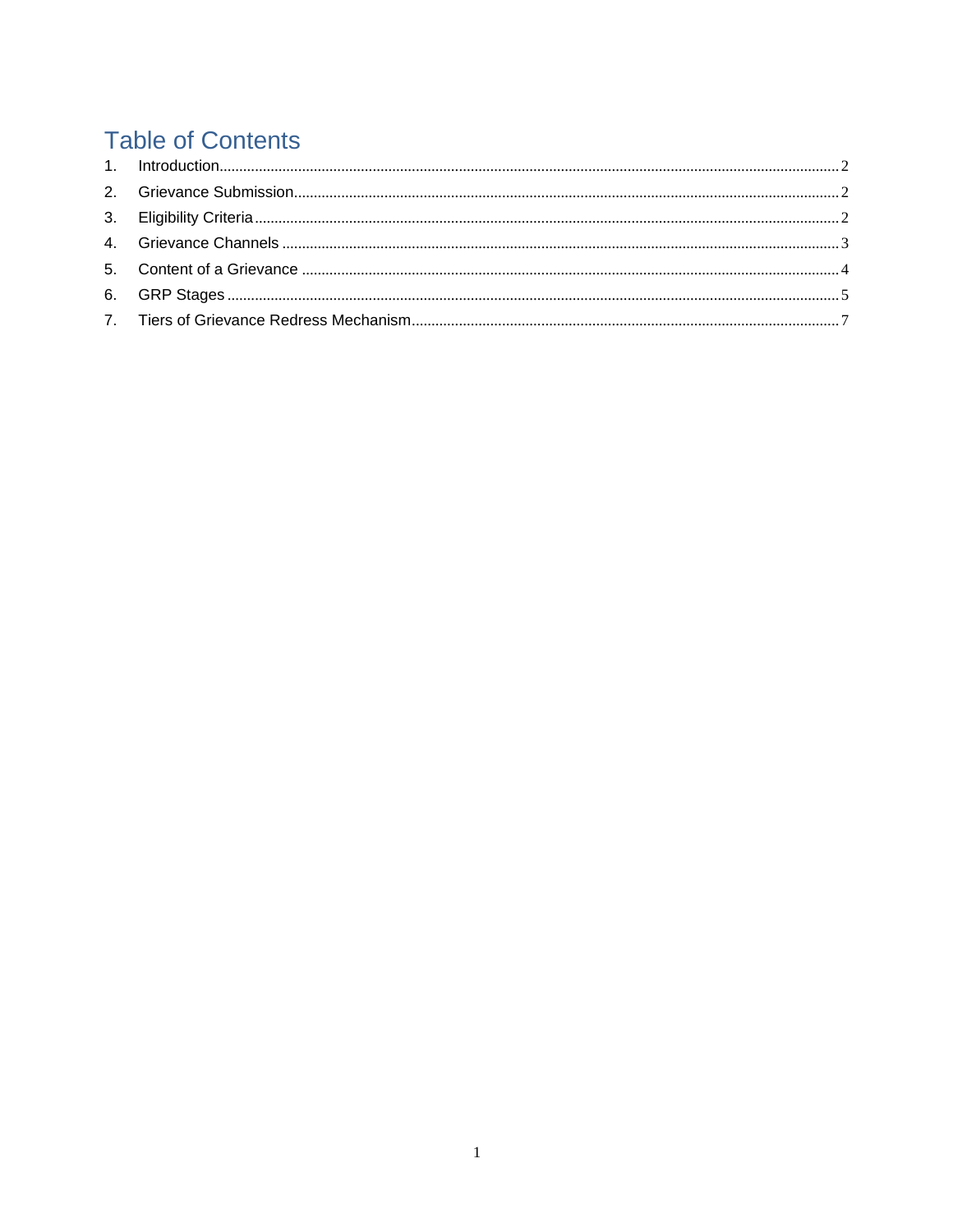# **Table of Contents**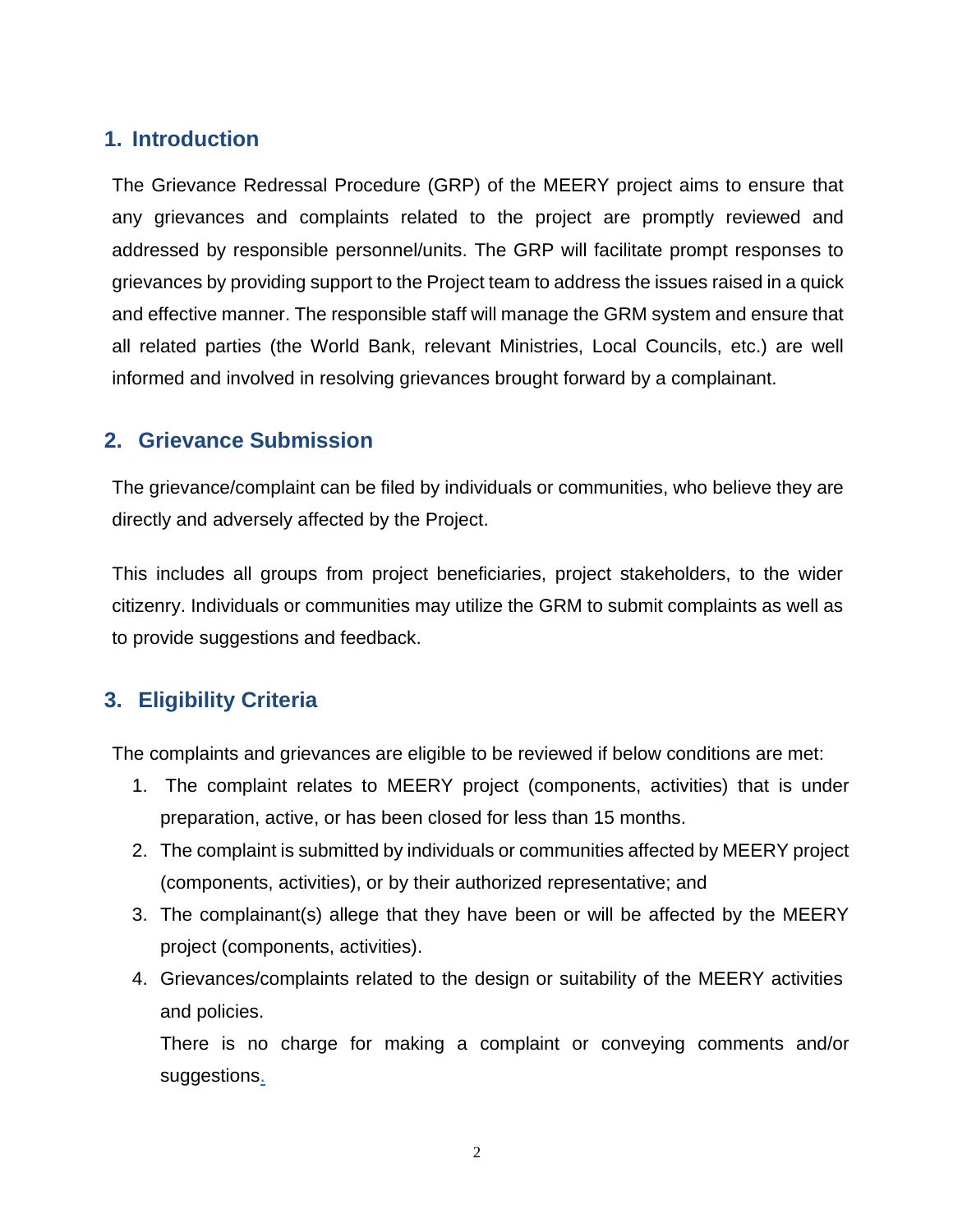## <span id="page-2-0"></span>**1. Introduction**

The Grievance Redressal Procedure (GRP) of the MEERY project aims to ensure that any grievances and complaints related to the project are promptly reviewed and addressed by responsible personnel/units. The GRP will facilitate prompt responses to grievances by providing support to the Project team to address the issues raised in a quick and effective manner. The responsible staff will manage the GRM system and ensure that all related parties (the World Bank, relevant Ministries, Local Councils, etc.) are well informed and involved in resolving grievances brought forward by a complainant.

### <span id="page-2-1"></span>**2. Grievance Submission**

The grievance/complaint can be filed by individuals or communities, who believe they are directly and adversely affected by the Project.

This includes all groups from project beneficiaries, project stakeholders, to the wider citizenry. Individuals or communities may utilize the GRM to submit complaints as well as to provide suggestions and feedback.

## <span id="page-2-2"></span>**3. Eligibility Criteria**

The complaints and grievances are eligible to be reviewed if below conditions are met:

- 1. The complaint relates to MEERY project (components, activities) that is under preparation, active, or has been closed for less than 15 months.
- 2. The complaint is submitted by individuals or communities affected by MEERY project (components, activities), or by their authorized representative; and
- 3. The complainant(s) allege that they have been or will be affected by the MEERY project (components, activities).
- 4. Grievances/complaints related to the design or suitability of the MEERY activities and policies.

There is no charge for making a complaint or conveying comments and/or suggestions.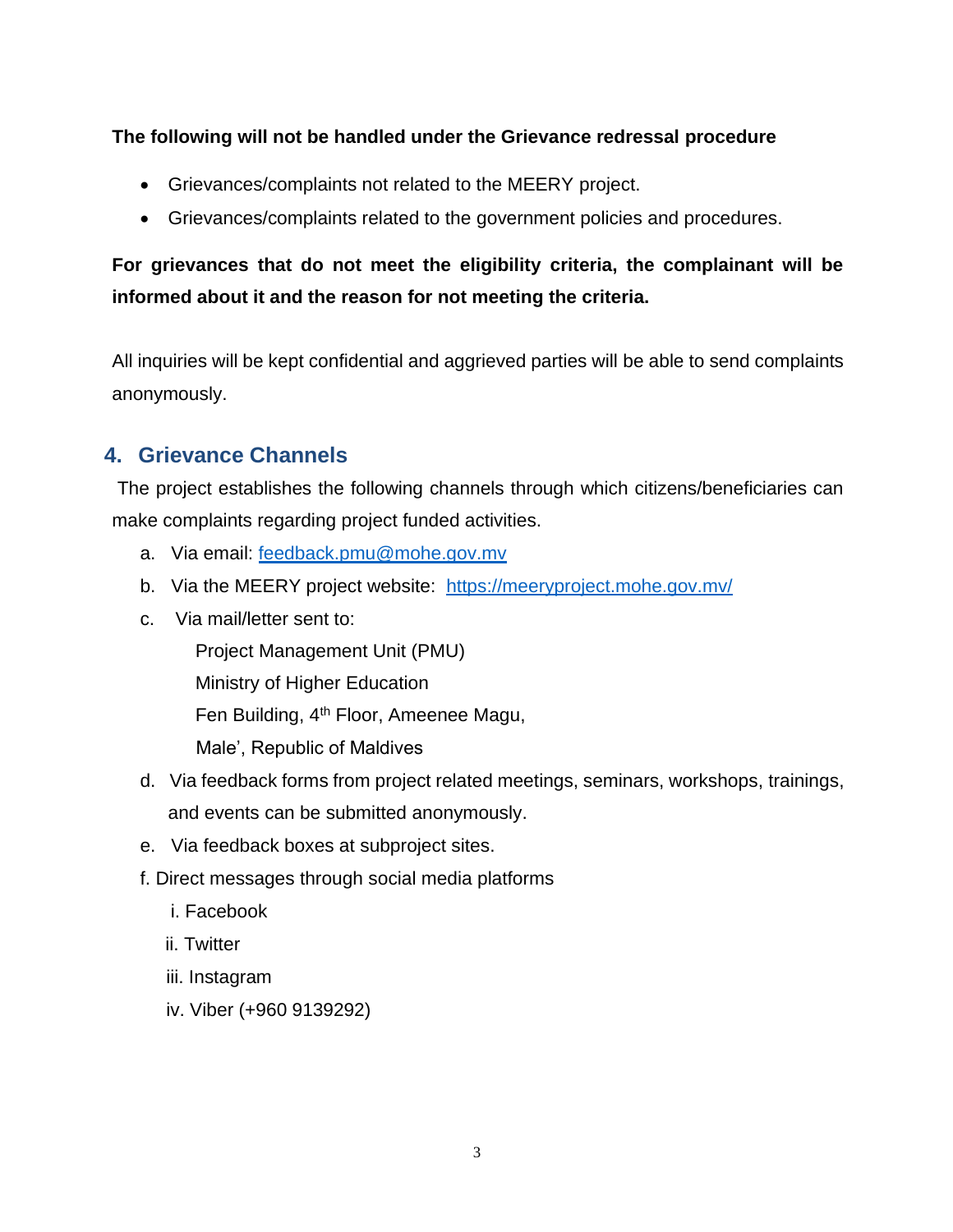#### **The following will not be handled under the Grievance redressal procedure**

- Grievances/complaints not related to the MEERY project.
- Grievances/complaints related to the government policies and procedures.

## **For grievances that do not meet the eligibility criteria, the complainant will be informed about it and the reason for not meeting the criteria.**

All inquiries will be kept confidential and aggrieved parties will be able to send complaints anonymously.

## <span id="page-3-0"></span>**4. Grievance Channels**

The project establishes the following channels through which citizens/beneficiaries can make complaints regarding project funded activities.

- a. Via email: [feedback.pmu@mohe.gov.mv](mailto:feedback.pmu@mohe.gov.mv)
- b. Via the MEERY project website: https://meeryproject.mohe.gov.mv/
- c. Via mail/letter sent to:

Project Management Unit (PMU)

Ministry of Higher Education

Fen Building, 4th Floor, Ameenee Magu,

Male', Republic of Maldives

- d. Via feedback forms from project related meetings, seminars, workshops, trainings, and events can be submitted anonymously.
- e. Via feedback boxes at subproject sites.
- f. Direct messages through social media platforms
	- i. Facebook
	- ii. Twitter
	- iii. Instagram
	- iv. Viber (+960 9139292)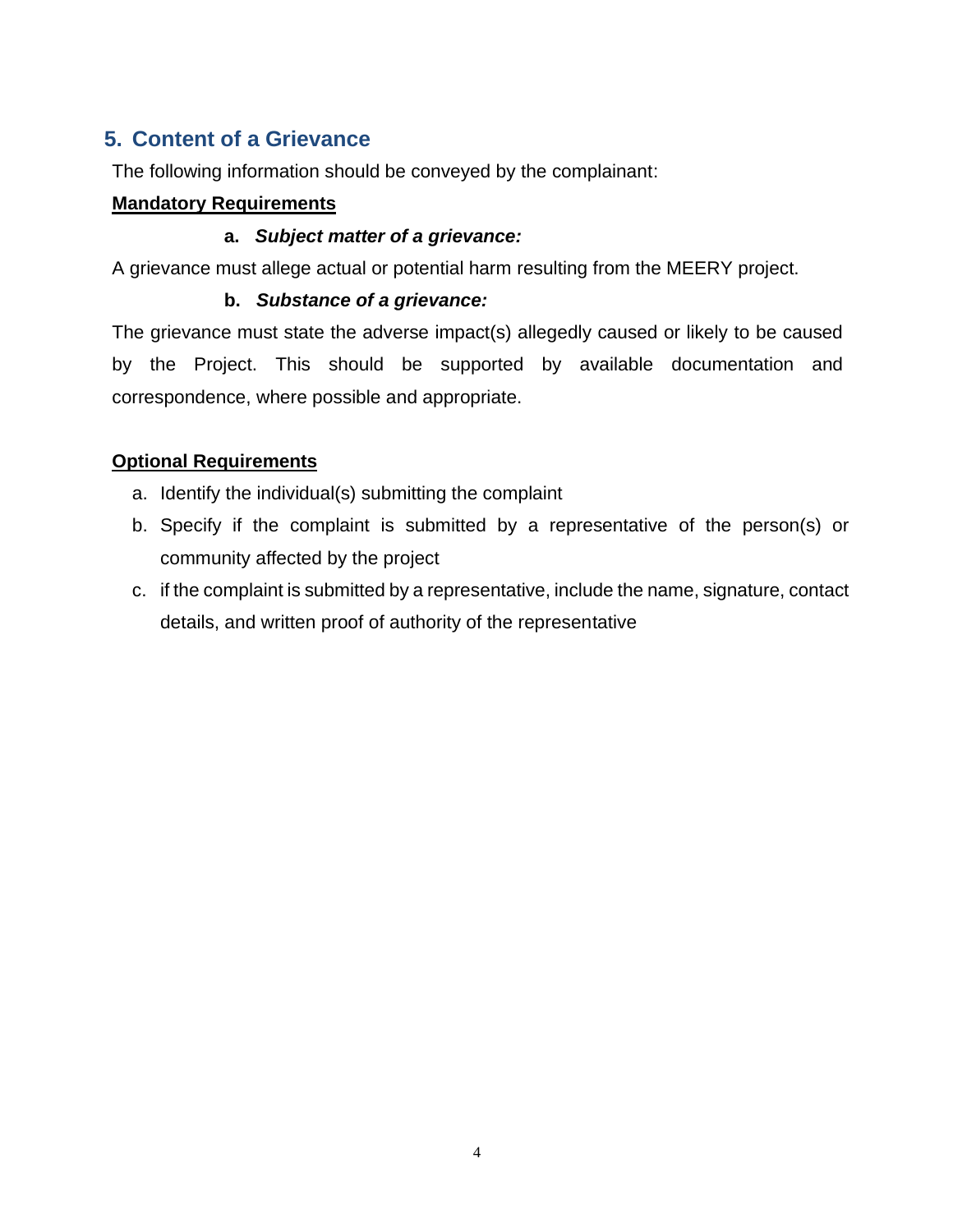## <span id="page-4-0"></span>**5. Content of a Grievance**

The following information should be conveyed by the complainant:

#### **Mandatory Requirements**

#### **a.** *Subject matter of a grievance:*

A grievance must allege actual or potential harm resulting from the MEERY project.

#### **b.** *Substance of a grievance:*

The grievance must state the adverse impact(s) allegedly caused or likely to be caused by the Project. This should be supported by available documentation and correspondence, where possible and appropriate.

#### **Optional Requirements**

- a. Identify the individual(s) submitting the complaint
- b. Specify if the complaint is submitted by a representative of the person(s) or community affected by the project
- c. if the complaint is submitted by a representative, include the name, signature, contact details, and written proof of authority of the representative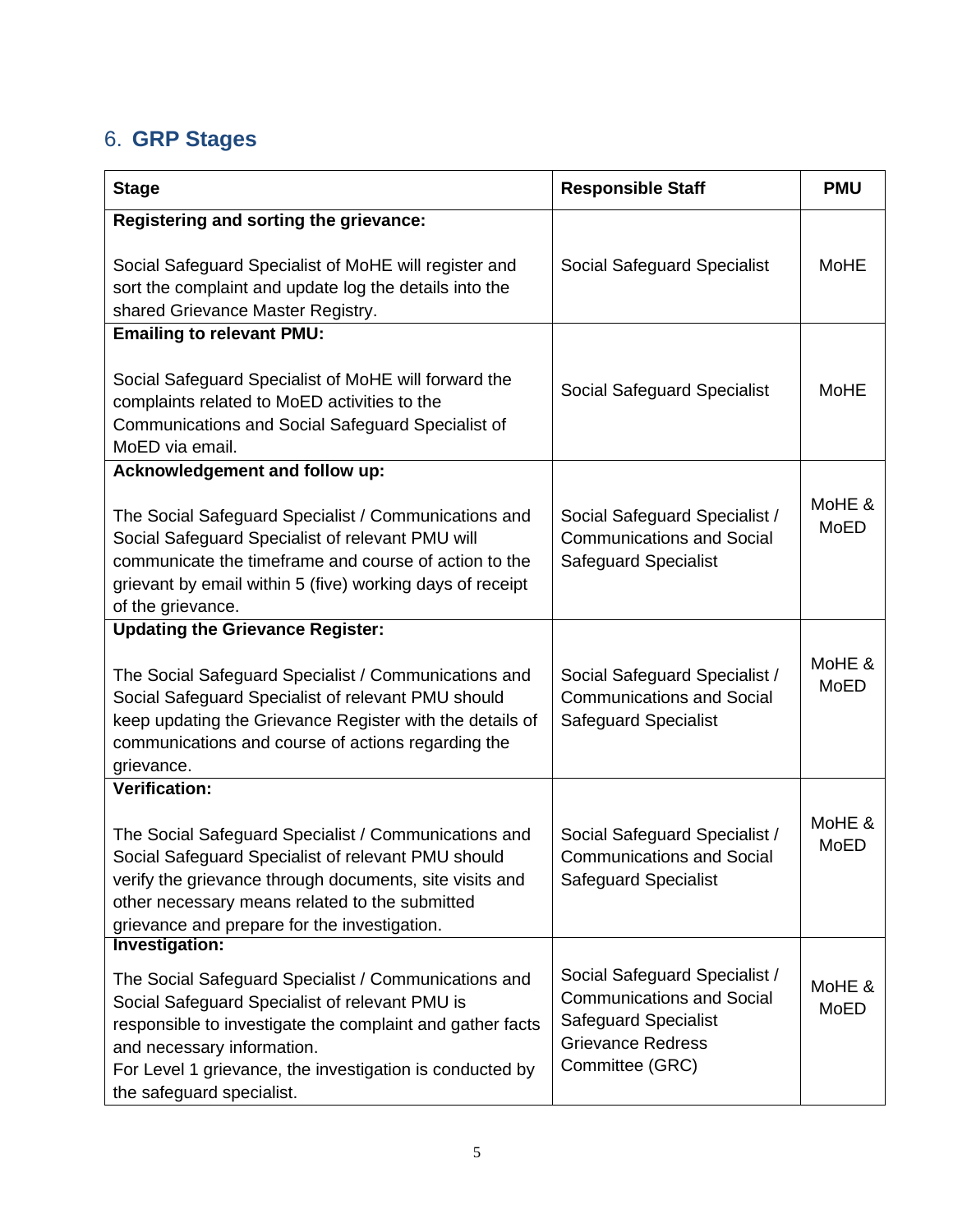## <span id="page-5-0"></span>6. **GRP Stages**

| <b>Stage</b>                                                                                                                                                                                                                                                                                                 | <b>Responsible Staff</b>                                                                                                                        | <b>PMU</b>     |
|--------------------------------------------------------------------------------------------------------------------------------------------------------------------------------------------------------------------------------------------------------------------------------------------------------------|-------------------------------------------------------------------------------------------------------------------------------------------------|----------------|
| Registering and sorting the grievance:<br>Social Safeguard Specialist of MoHE will register and<br>sort the complaint and update log the details into the<br>shared Grievance Master Registry.                                                                                                               | Social Safeguard Specialist                                                                                                                     | <b>MoHE</b>    |
| <b>Emailing to relevant PMU:</b><br>Social Safeguard Specialist of MoHE will forward the<br>complaints related to MoED activities to the<br>Communications and Social Safeguard Specialist of<br>MoED via email.                                                                                             | Social Safeguard Specialist                                                                                                                     | <b>MoHE</b>    |
| Acknowledgement and follow up:<br>The Social Safeguard Specialist / Communications and<br>Social Safeguard Specialist of relevant PMU will<br>communicate the timeframe and course of action to the<br>grievant by email within 5 (five) working days of receipt<br>of the grievance.                        | Social Safeguard Specialist /<br><b>Communications and Social</b><br><b>Safeguard Specialist</b>                                                | MoHE &<br>MoED |
| <b>Updating the Grievance Register:</b><br>The Social Safeguard Specialist / Communications and<br>Social Safeguard Specialist of relevant PMU should<br>keep updating the Grievance Register with the details of<br>communications and course of actions regarding the<br>grievance.                        | Social Safeguard Specialist /<br><b>Communications and Social</b><br><b>Safeguard Specialist</b>                                                | MoHE &<br>MoED |
| <b>Verification:</b><br>The Social Safeguard Specialist / Communications and<br>Social Safeguard Specialist of relevant PMU should<br>verify the grievance through documents, site visits and<br>other necessary means related to the submitted<br>grievance and prepare for the investigation.              | Social Safeguard Specialist /<br><b>Communications and Social</b><br><b>Safeguard Specialist</b>                                                | MoHE &<br>MoED |
| Investigation:<br>The Social Safeguard Specialist / Communications and<br>Social Safeguard Specialist of relevant PMU is<br>responsible to investigate the complaint and gather facts<br>and necessary information.<br>For Level 1 grievance, the investigation is conducted by<br>the safeguard specialist. | Social Safeguard Specialist /<br><b>Communications and Social</b><br><b>Safeguard Specialist</b><br><b>Grievance Redress</b><br>Committee (GRC) | MoHE &<br>MoED |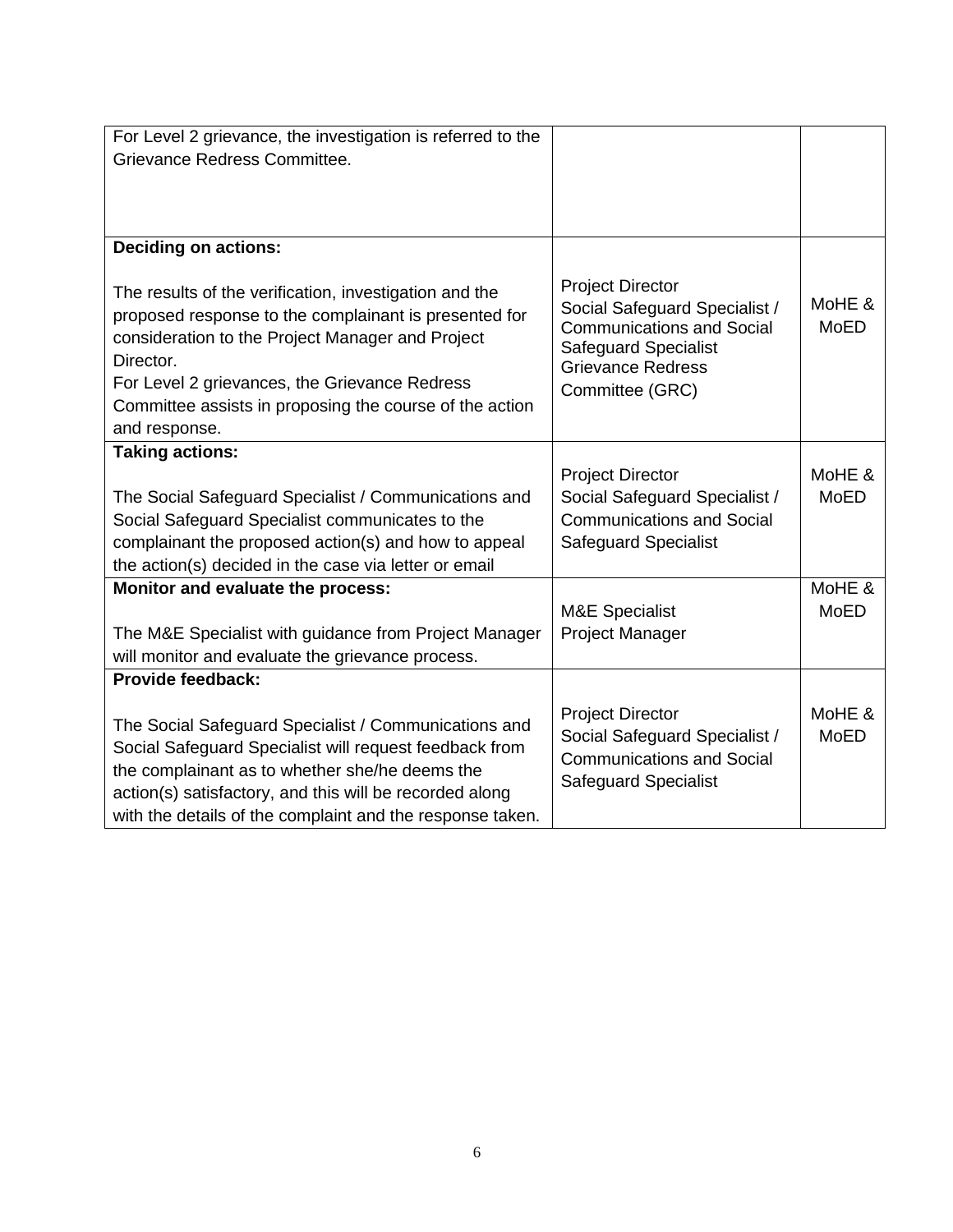| For Level 2 grievance, the investigation is referred to the                                                                                                                                                                                                                                                   |                                                                                                                                                                            |                       |
|---------------------------------------------------------------------------------------------------------------------------------------------------------------------------------------------------------------------------------------------------------------------------------------------------------------|----------------------------------------------------------------------------------------------------------------------------------------------------------------------------|-----------------------|
| Grievance Redress Committee.                                                                                                                                                                                                                                                                                  |                                                                                                                                                                            |                       |
|                                                                                                                                                                                                                                                                                                               |                                                                                                                                                                            |                       |
|                                                                                                                                                                                                                                                                                                               |                                                                                                                                                                            |                       |
|                                                                                                                                                                                                                                                                                                               |                                                                                                                                                                            |                       |
| <b>Deciding on actions:</b>                                                                                                                                                                                                                                                                                   |                                                                                                                                                                            |                       |
| The results of the verification, investigation and the<br>proposed response to the complainant is presented for<br>consideration to the Project Manager and Project<br>Director.<br>For Level 2 grievances, the Grievance Redress<br>Committee assists in proposing the course of the action<br>and response. | <b>Project Director</b><br>Social Safeguard Specialist /<br><b>Communications and Social</b><br><b>Safeguard Specialist</b><br><b>Grievance Redress</b><br>Committee (GRC) | MoHE &<br><b>MoED</b> |
| <b>Taking actions:</b>                                                                                                                                                                                                                                                                                        |                                                                                                                                                                            |                       |
|                                                                                                                                                                                                                                                                                                               | <b>Project Director</b>                                                                                                                                                    | MoHE &                |
| The Social Safeguard Specialist / Communications and                                                                                                                                                                                                                                                          | Social Safeguard Specialist /                                                                                                                                              | <b>MoED</b>           |
| Social Safeguard Specialist communicates to the                                                                                                                                                                                                                                                               | <b>Communications and Social</b>                                                                                                                                           |                       |
| complainant the proposed action(s) and how to appeal                                                                                                                                                                                                                                                          | <b>Safeguard Specialist</b>                                                                                                                                                |                       |
| the action(s) decided in the case via letter or email                                                                                                                                                                                                                                                         |                                                                                                                                                                            |                       |
| Monitor and evaluate the process:                                                                                                                                                                                                                                                                             |                                                                                                                                                                            | MoHE &                |
|                                                                                                                                                                                                                                                                                                               | <b>M&amp;E Specialist</b>                                                                                                                                                  | <b>MoED</b>           |
| The M&E Specialist with guidance from Project Manager                                                                                                                                                                                                                                                         | <b>Project Manager</b>                                                                                                                                                     |                       |
| will monitor and evaluate the grievance process.                                                                                                                                                                                                                                                              |                                                                                                                                                                            |                       |
| Provide feedback:                                                                                                                                                                                                                                                                                             |                                                                                                                                                                            |                       |
|                                                                                                                                                                                                                                                                                                               |                                                                                                                                                                            |                       |
| The Social Safeguard Specialist / Communications and                                                                                                                                                                                                                                                          | <b>Project Director</b>                                                                                                                                                    | MoHE &                |
| Social Safeguard Specialist will request feedback from                                                                                                                                                                                                                                                        | Social Safeguard Specialist /                                                                                                                                              | <b>MoED</b>           |
| the complainant as to whether she/he deems the                                                                                                                                                                                                                                                                | <b>Communications and Social</b>                                                                                                                                           |                       |
| action(s) satisfactory, and this will be recorded along                                                                                                                                                                                                                                                       | <b>Safeguard Specialist</b>                                                                                                                                                |                       |
| with the details of the complaint and the response taken.                                                                                                                                                                                                                                                     |                                                                                                                                                                            |                       |
|                                                                                                                                                                                                                                                                                                               |                                                                                                                                                                            |                       |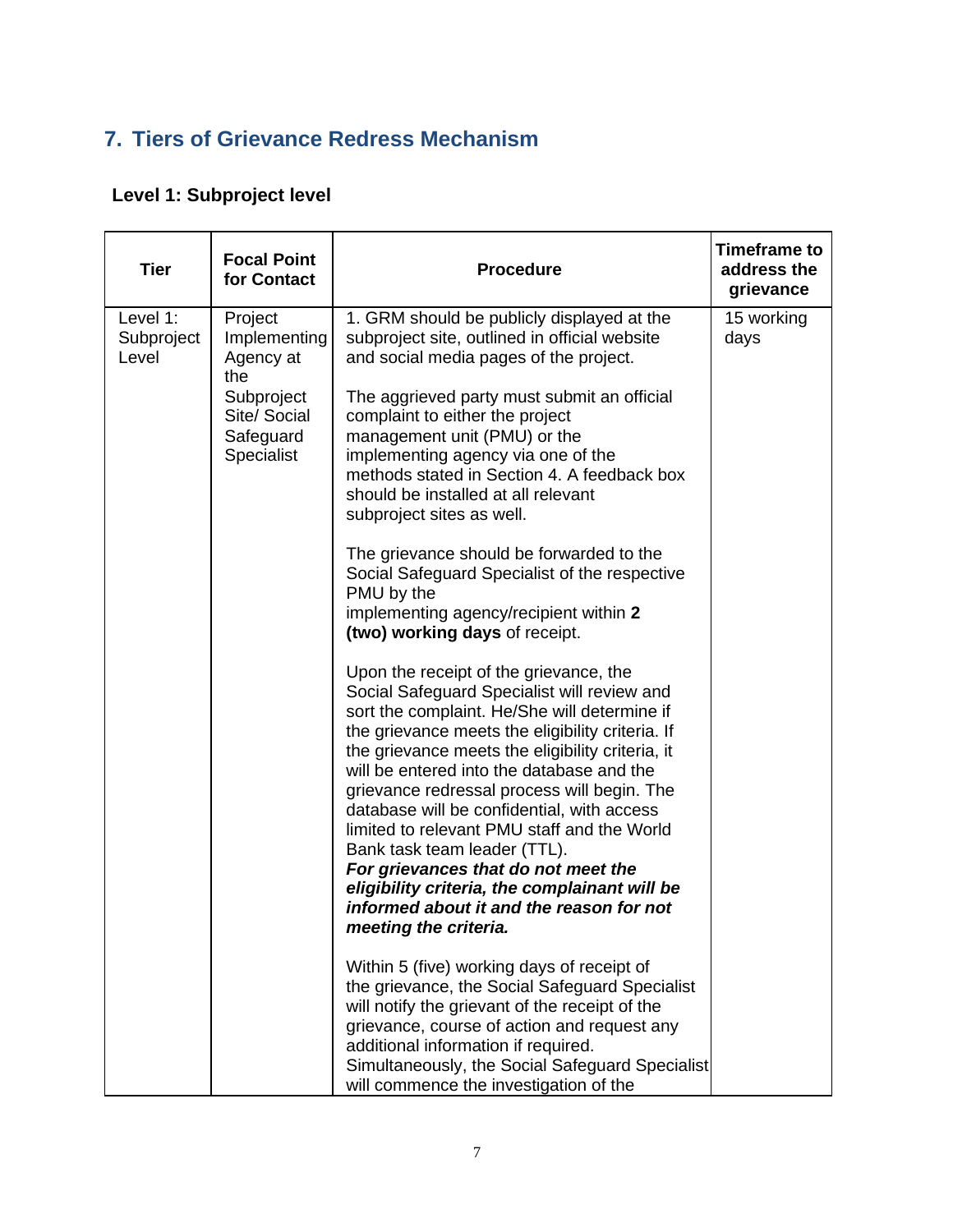## <span id="page-7-0"></span>**7. Tiers of Grievance Redress Mechanism**

## **Level 1: Subproject level**

| <b>Tier</b>                     | <b>Focal Point</b><br>for Contact                                                                           | <b>Procedure</b>                                                                                                                                                                                                                                                                                                                                                                                                                                                                                                                           | <b>Timeframe to</b><br>address the<br>grievance |
|---------------------------------|-------------------------------------------------------------------------------------------------------------|--------------------------------------------------------------------------------------------------------------------------------------------------------------------------------------------------------------------------------------------------------------------------------------------------------------------------------------------------------------------------------------------------------------------------------------------------------------------------------------------------------------------------------------------|-------------------------------------------------|
| Level 1:<br>Subproject<br>Level | Project<br>Implementing<br>Agency at<br>the<br>Subproject<br>Site/ Social<br>Safeguard<br><b>Specialist</b> | 1. GRM should be publicly displayed at the<br>subproject site, outlined in official website<br>and social media pages of the project.<br>The aggrieved party must submit an official<br>complaint to either the project<br>management unit (PMU) or the<br>implementing agency via one of the<br>methods stated in Section 4. A feedback box<br>should be installed at all relevant<br>subproject sites as well.<br>The grievance should be forwarded to the<br>Social Safeguard Specialist of the respective                              | 15 working<br>days                              |
|                                 |                                                                                                             | PMU by the<br>implementing agency/recipient within 2<br>(two) working days of receipt.<br>Upon the receipt of the grievance, the<br>Social Safeguard Specialist will review and                                                                                                                                                                                                                                                                                                                                                            |                                                 |
|                                 |                                                                                                             | sort the complaint. He/She will determine if<br>the grievance meets the eligibility criteria. If<br>the grievance meets the eligibility criteria, it<br>will be entered into the database and the<br>grievance redressal process will begin. The<br>database will be confidential, with access<br>limited to relevant PMU staff and the World<br>Bank task team leader (TTL).<br>For grievances that do not meet the<br>eligibility criteria, the complainant will be<br>informed about it and the reason for not<br>meeting the criteria. |                                                 |
|                                 |                                                                                                             | Within 5 (five) working days of receipt of<br>the grievance, the Social Safeguard Specialist<br>will notify the grievant of the receipt of the<br>grievance, course of action and request any<br>additional information if required.<br>Simultaneously, the Social Safeguard Specialist<br>will commence the investigation of the                                                                                                                                                                                                          |                                                 |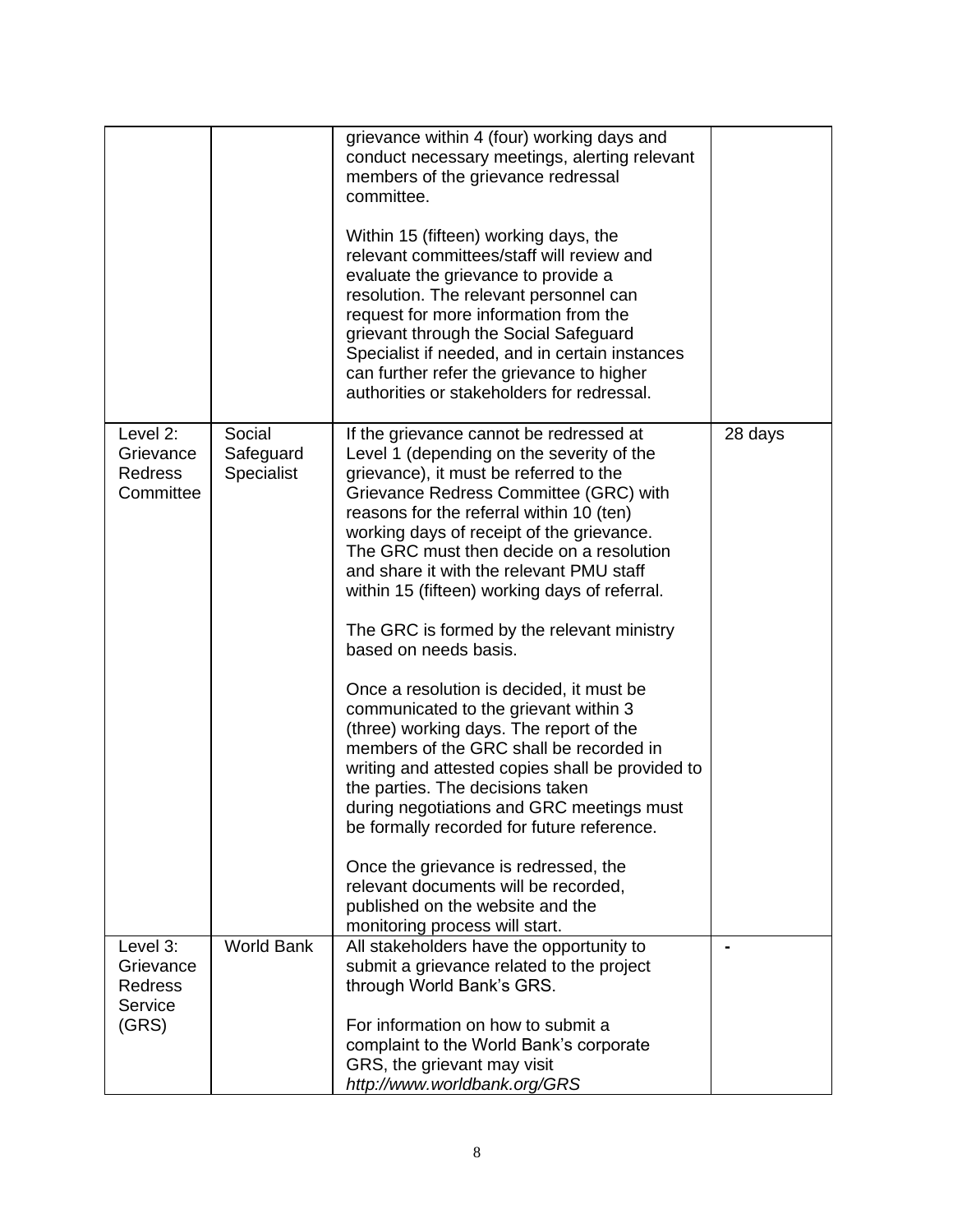|                                                      |                                   | grievance within 4 (four) working days and<br>conduct necessary meetings, alerting relevant<br>members of the grievance redressal<br>committee.                                                                                                                                                                                                                                                            |         |
|------------------------------------------------------|-----------------------------------|------------------------------------------------------------------------------------------------------------------------------------------------------------------------------------------------------------------------------------------------------------------------------------------------------------------------------------------------------------------------------------------------------------|---------|
|                                                      |                                   | Within 15 (fifteen) working days, the<br>relevant committees/staff will review and<br>evaluate the grievance to provide a<br>resolution. The relevant personnel can<br>request for more information from the<br>grievant through the Social Safeguard<br>Specialist if needed, and in certain instances<br>can further refer the grievance to higher<br>authorities or stakeholders for redressal.         |         |
| Level 2:<br>Grievance<br><b>Redress</b><br>Committee | Social<br>Safeguard<br>Specialist | If the grievance cannot be redressed at<br>Level 1 (depending on the severity of the<br>grievance), it must be referred to the<br>Grievance Redress Committee (GRC) with<br>reasons for the referral within 10 (ten)<br>working days of receipt of the grievance.<br>The GRC must then decide on a resolution<br>and share it with the relevant PMU staff<br>within 15 (fifteen) working days of referral. | 28 days |
|                                                      |                                   | The GRC is formed by the relevant ministry<br>based on needs basis.                                                                                                                                                                                                                                                                                                                                        |         |
|                                                      |                                   | Once a resolution is decided, it must be<br>communicated to the grievant within 3<br>(three) working days. The report of the<br>members of the GRC shall be recorded in<br>writing and attested copies shall be provided to<br>the parties. The decisions taken<br>during negotiations and GRC meetings must<br>be formally recorded for future reference.                                                 |         |
|                                                      |                                   | Once the grievance is redressed, the<br>relevant documents will be recorded,<br>published on the website and the<br>monitoring process will start.                                                                                                                                                                                                                                                         |         |
| Level 3:<br>Grievance<br><b>Redress</b><br>Service   | <b>World Bank</b>                 | All stakeholders have the opportunity to<br>submit a grievance related to the project<br>through World Bank's GRS.                                                                                                                                                                                                                                                                                         |         |
| (GRS)                                                |                                   | For information on how to submit a<br>complaint to the World Bank's corporate<br>GRS, the grievant may visit<br>http://www.worldbank.org/GRS                                                                                                                                                                                                                                                               |         |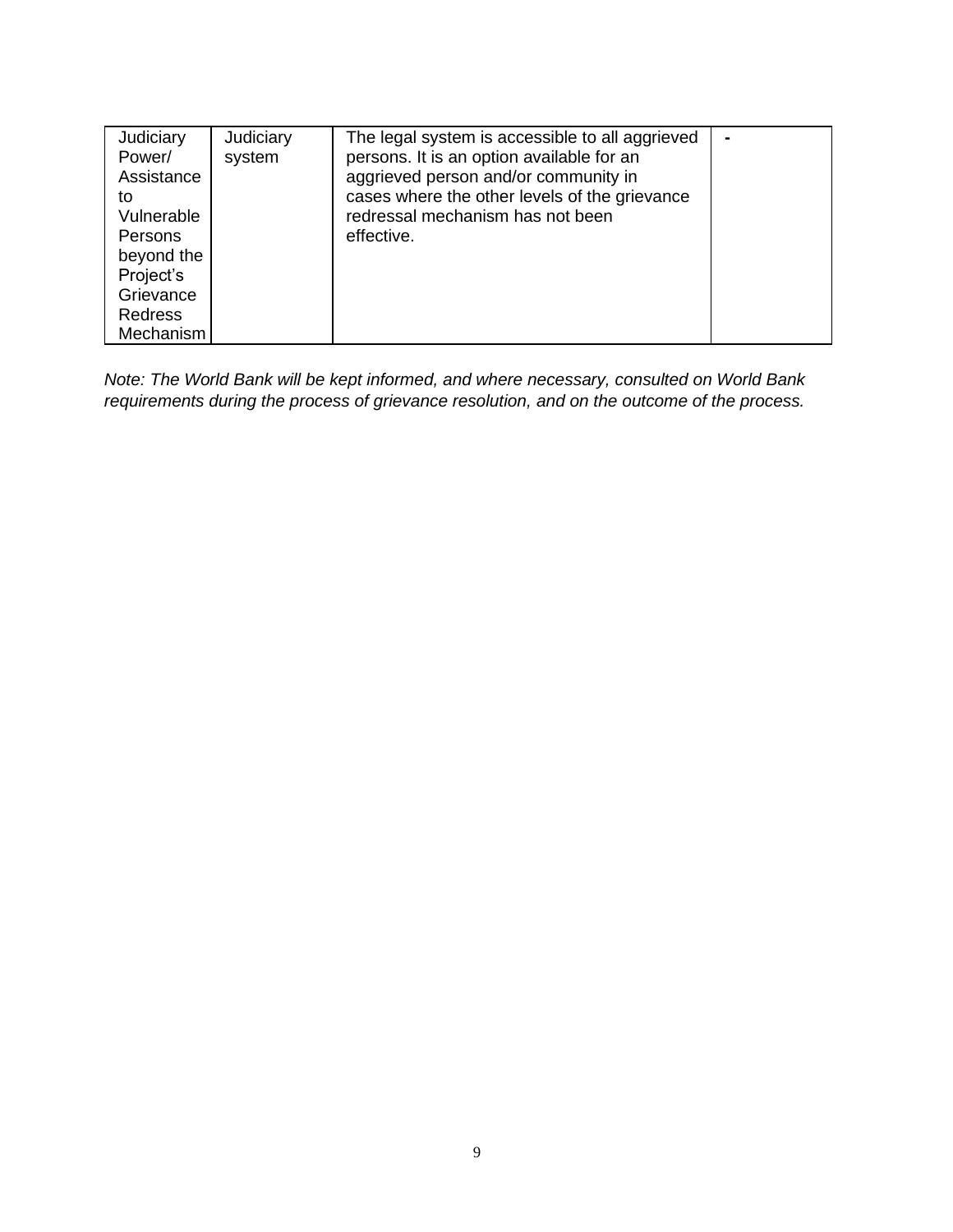| Judiciary      | Judiciary | The legal system is accessible to all aggrieved |  |
|----------------|-----------|-------------------------------------------------|--|
| Power/         | system    | persons. It is an option available for an       |  |
| Assistance     |           | aggrieved person and/or community in            |  |
| to             |           | cases where the other levels of the grievance   |  |
| Vulnerable     |           | redressal mechanism has not been                |  |
| <b>Persons</b> |           | effective.                                      |  |
| beyond the     |           |                                                 |  |
| Project's      |           |                                                 |  |
| Grievance      |           |                                                 |  |
| <b>Redress</b> |           |                                                 |  |
| Mechanism      |           |                                                 |  |

*Note: The World Bank will be kept informed, and where necessary, consulted on World Bank requirements during the process of grievance resolution, and on the outcome of the process.*